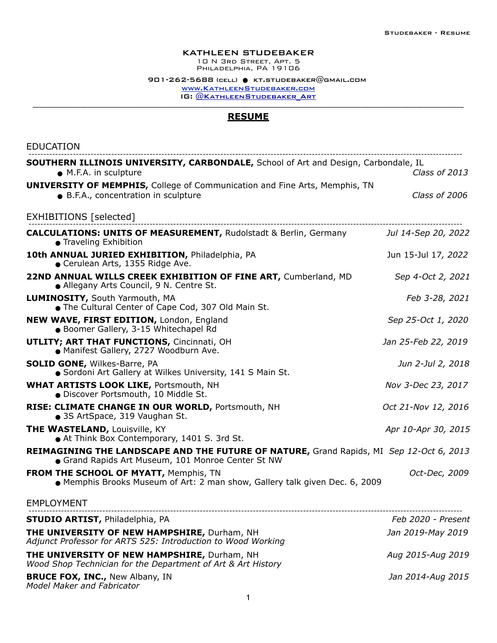## KATHLEEN STUDEBAKER

10 N 3rd Street, Apt. 5 PHILADELPHIA, PA<sup>'</sup>19106

 $901 - 262 - 5688$  (cell)  $\bullet$  [kt.studebaker@gmail.com](mailto:kt.studebaker@gmail.com) [www.KathleenStudebaker.com](http://www.KathleenStudebaker.com) IG: @KATHLEENSTUDEBAKER ART

## **RESUME**

| <b>EDUCATION</b>                                                                                                                              |                     |
|-----------------------------------------------------------------------------------------------------------------------------------------------|---------------------|
| <b>SOUTHERN ILLINOIS UNIVERSITY, CARBONDALE, School of Art and Design, Carbondale, IL</b><br>• M.F.A. in sculpture                            | Class of 2013       |
| <b>UNIVERSITY OF MEMPHIS, College of Communication and Fine Arts, Memphis, TN</b><br>· B.F.A., concentration in sculpture                     | Class of 2006       |
| EXHIBITIONS [selected]                                                                                                                        |                     |
| <b>CALCULATIONS: UNITS OF MEASUREMENT, Rudolstadt &amp; Berlin, Germany</b><br>● Traveling Exhibition                                         | Jul 14-Sep 20, 2022 |
| 10th ANNUAL JURIED EXHIBITION, Philadelphia, PA<br>Cerulean Arts, 1355 Ridge Ave.                                                             | Jun 15-Jul 17, 2022 |
| 22ND ANNUAL WILLS CREEK EXHIBITION OF FINE ART, Cumberland, MD<br>• Allegany Arts Council, 9 N. Centre St.                                    | Sep 4-Oct 2, 2021   |
| <b>LUMINOSITY, South Yarmouth, MA</b><br>• The Cultural Center of Cape Cod, 307 Old Main St.                                                  | Feb 3-28, 2021      |
| NEW WAVE, FIRST EDITION, London, England<br>· Boomer Gallery, 3-15 Whitechapel Rd                                                             | Sep 25-Oct 1, 2020  |
| <b>UTLITY; ART THAT FUNCTIONS, Cincinnati, OH</b><br>• Manifest Gallery, 2727 Woodburn Ave.                                                   | Jan 25-Feb 22, 2019 |
| <b>SOLID GONE, Wilkes-Barre, PA</b><br>• Sordoni Art Gallery at Wilkes University, 141 S Main St.                                             | Jun 2-Jul 2, 2018   |
| <b>WHAT ARTISTS LOOK LIKE, Portsmouth, NH</b><br>· Discover Portsmouth, 10 Middle St.                                                         | Nov 3-Dec 23, 2017  |
| RISE: CLIMATE CHANGE IN OUR WORLD, Portsmouth, NH<br>• 3S ArtSpace, 319 Vaughan St.                                                           | Oct 21-Nov 12, 2016 |
| <b>THE WASTELAND, Louisville, KY</b><br>At Think Box Contemporary, 1401 S. 3rd St.                                                            | Apr 10-Apr 30, 2015 |
| REIMAGINING THE LANDSCAPE AND THE FUTURE OF NATURE, Grand Rapids, MI Sep 12-Oct 6, 2013<br>• Grand Rapids Art Museum, 101 Monroe Center St NW |                     |
| <b>FROM THE SCHOOL OF MYATT, Memphis, TN</b><br>• Memphis Brooks Museum of Art: 2 man show, Gallery talk given Dec. 6, 2009                   | Oct-Dec, 2009       |
| <b>EMPLOYMENT</b>                                                                                                                             |                     |
| <b>STUDIO ARTIST, Philadelphia, PA</b>                                                                                                        | Feb 2020 - Present  |
| THE UNIVERSITY OF NEW HAMPSHIRE, Durham, NH<br>Adjunct Professor for ARTS 525: Introduction to Wood Working                                   | Jan 2019-May 2019   |
| THE UNIVERSITY OF NEW HAMPSHIRE, Durham, NH<br>Wood Shop Technician for the Department of Art & Art History                                   | Aug 2015-Aug 2019   |
| <b>BRUCE FOX, INC., New Albany, IN</b>                                                                                                        | Jan 2014-Aug 2015   |

*Model Maker and Fabricator*